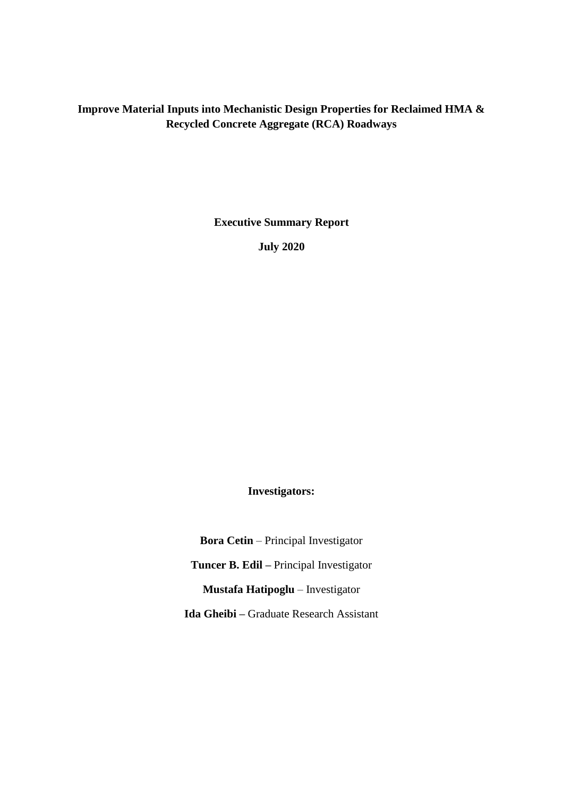## **Improve Material Inputs into Mechanistic Design Properties for Reclaimed HMA & Recycled Concrete Aggregate (RCA) Roadways**

**Executive Summary Report**

**July 2020**

**Investigators:**

**Bora Cetin** – Principal Investigator **Tuncer B. Edil –** Principal Investigator **Mustafa Hatipoglu** – Investigator **Ida Gheibi –** Graduate Research Assistant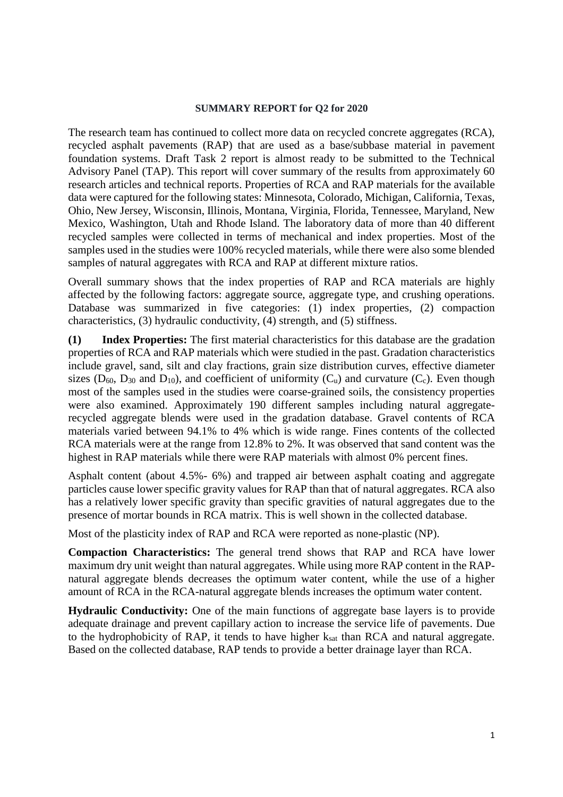## **SUMMARY REPORT for Q2 for 2020**

The research team has continued to collect more data on recycled concrete aggregates (RCA), recycled asphalt pavements (RAP) that are used as a base/subbase material in pavement foundation systems. Draft Task 2 report is almost ready to be submitted to the Technical Advisory Panel (TAP). This report will cover summary of the results from approximately 60 research articles and technical reports. Properties of RCA and RAP materials for the available data were captured for the following states: Minnesota, Colorado, Michigan, California, Texas, Ohio, New Jersey, Wisconsin, Illinois, Montana, Virginia, Florida, Tennessee, Maryland, New Mexico, Washington, Utah and Rhode Island. The laboratory data of more than 40 different recycled samples were collected in terms of mechanical and index properties. Most of the samples used in the studies were 100% recycled materials, while there were also some blended samples of natural aggregates with RCA and RAP at different mixture ratios.

Overall summary shows that the index properties of RAP and RCA materials are highly affected by the following factors: aggregate source, aggregate type, and crushing operations. Database was summarized in five categories: (1) index properties, (2) compaction characteristics, (3) hydraulic conductivity, (4) strength, and (5) stiffness.

**(1) Index Properties:** The first material characteristics for this database are the gradation properties of RCA and RAP materials which were studied in the past. Gradation characteristics include gravel, sand, silt and clay fractions, grain size distribution curves, effective diameter sizes ( $D_{60}$ ,  $D_{30}$  and  $D_{10}$ ), and coefficient of uniformity ( $C_u$ ) and curvature ( $C_c$ ). Even though most of the samples used in the studies were coarse-grained soils, the consistency properties were also examined. Approximately 190 different samples including natural aggregaterecycled aggregate blends were used in the gradation database. Gravel contents of RCA materials varied between 94.1% to 4% which is wide range. Fines contents of the collected RCA materials were at the range from 12.8% to 2%. It was observed that sand content was the highest in RAP materials while there were RAP materials with almost 0% percent fines.

Asphalt content (about 4.5%- 6%) and trapped air between asphalt coating and aggregate particles cause lower specific gravity values for RAP than that of natural aggregates. RCA also has a relatively lower specific gravity than specific gravities of natural aggregates due to the presence of mortar bounds in RCA matrix. This is well shown in the collected database.

Most of the plasticity index of RAP and RCA were reported as none-plastic (NP).

**Compaction Characteristics:** The general trend shows that RAP and RCA have lower maximum dry unit weight than natural aggregates. While using more RAP content in the RAPnatural aggregate blends decreases the optimum water content, while the use of a higher amount of RCA in the RCA-natural aggregate blends increases the optimum water content.

**Hydraulic Conductivity:** One of the main functions of aggregate base layers is to provide adequate drainage and prevent capillary action to increase the service life of pavements. Due to the hydrophobicity of RAP, it tends to have higher ksat than RCA and natural aggregate. Based on the collected database, RAP tends to provide a better drainage layer than RCA.